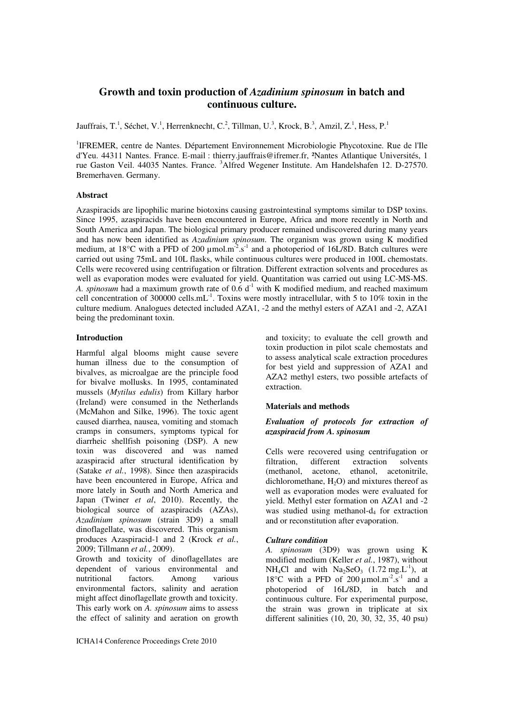# **Growth and toxin production of** *Azadinium spinosum* **in batch and continuous culture.**

Jauffrais, T.<sup>1</sup>, Séchet, V.<sup>1</sup>, Herrenknecht, C.<sup>2</sup>, Tillman, U.<sup>3</sup>, Krock, B.<sup>3</sup>, Amzil, Z.<sup>1</sup>, Hess, P.<sup>1</sup>

<sup>1</sup>IFREMER, centre de Nantes. Département Environnement Microbiologie Phycotoxine. Rue de l'Ile d'Yeu. 44311 Nantes. France. E-mail : thierry.jauffrais@ifremer.fr, ²Nantes Atlantique Universités, 1 rue Gaston Veil. 44035 Nantes. France. <sup>3</sup>Alfred Wegener Institute. Am Handelshafen 12. D-27570. Bremerhaven. Germany.

## **Abstract**

Azaspiracids are lipophilic marine biotoxins causing gastrointestinal symptoms similar to DSP toxins. Since 1995, azaspiracids have been encountered in Europe, Africa and more recently in North and South America and Japan. The biological primary producer remained undiscovered during many years and has now been identified as *Azadinium spinosum*. The organism was grown using K modified medium, at 18°C with a PFD of 200  $\mu$ mol.m<sup>-2</sup>.s<sup>-1</sup> and a photoperiod of 16L/8D. Batch cultures were carried out using 75mL and 10L flasks, while continuous cultures were produced in 100L chemostats. Cells were recovered using centrifugation or filtration. Different extraction solvents and procedures as well as evaporation modes were evaluated for yield. Quantitation was carried out using LC-MS-MS. *A. spinosum* had a maximum growth rate of 0.6 d<sup>-1</sup> with K modified medium, and reached maximum cell concentration of 300000 cells.mL<sup>-1</sup>. Toxins were mostly intracellular, with 5 to 10% toxin in the culture medium. Analogues detected included AZA1, -2 and the methyl esters of AZA1 and -2, AZA1 being the predominant toxin.

## **Introduction**

Harmful algal blooms might cause severe human illness due to the consumption of bivalves, as microalgae are the principle food for bivalve mollusks. In 1995, contaminated mussels (*Mytilus edulis*) from Killary harbor (Ireland) were consumed in the Netherlands (McMahon and Silke, 1996). The toxic agent caused diarrhea, nausea, vomiting and stomach cramps in consumers, symptoms typical for diarrheic shellfish poisoning (DSP). A new toxin was discovered and was named azaspiracid after structural identification by (Satake *et al.*, 1998). Since then azaspiracids have been encountered in Europe, Africa and more lately in South and North America and Japan (Twiner *et al*, 2010). Recently, the biological source of azaspiracids (AZAs), *Azadinium spinosum* (strain 3D9) a small dinoflagellate, was discovered. This organism produces Azaspiracid-1 and 2 (Krock *et al.*, 2009; Tillmann *et al.*, 2009).

Growth and toxicity of dinoflagellates are dependent of various environmental and nutritional factors. Among various environmental factors, salinity and aeration might affect dinoflagellate growth and toxicity. This early work on *A. spinosum* aims to assess the effect of salinity and aeration on growth and toxicity; to evaluate the cell growth and toxin production in pilot scale chemostats and to assess analytical scale extraction procedures for best yield and suppression of AZA1 and AZA2 methyl esters, two possible artefacts of extraction.

#### **Materials and methods**

## *Evaluation of protocols for extraction of azaspiracid from A. spinosum*

Cells were recovered using centrifugation or filtration, different extraction solvents (methanol, acetone, ethanol, acetonitrile, dichloromethane,  $H_2O$  and mixtures thereof as well as evaporation modes were evaluated for yield. Methyl ester formation on AZA1 and -2 was studied using methanol-d<sub>4</sub> for extraction and or reconstitution after evaporation.

#### *Culture condition*

*A. spinosum* (3D9) was grown using K modified medium (Keller *et al.*, 1987), without  $NH<sub>4</sub>Cl$  and with  $Na<sub>2</sub>SeO<sub>3</sub>$  (1.72 mg, L<sup>-1</sup>), at 18°C with a PFD of 200  $\mu$ mol.m<sup>-2</sup>.s<sup>-1</sup> and a photoperiod of 16L/8D, in batch and continuous culture. For experimental purpose, the strain was grown in triplicate at six different salinities (10, 20, 30, 32, 35, 40 psu)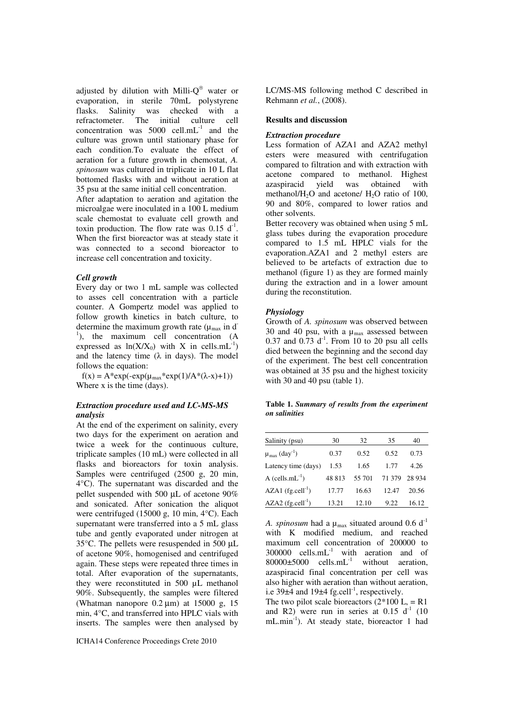adjusted by dilution with Milli- $Q^{\circledast}$  water or evaporation, in sterile 70mL polystyrene<br>flasks. Salinity was checked with a is checked with a initial culture cell refractometer. The initial culture cell concentration was  $5000$  cell.mL<sup>-1</sup> and the culture was grown until stationary phase for each condition.To evaluate the effect of aeration for a future growth in chemostat, *A. spinosum* was cultured in triplicate in 10 L flat bottomed flasks with and without aeration at 35 psu at the same initial cell concentration.

After adaptation to aeration and agitation the microalgae were inoculated in a 100 L medium scale chemostat to evaluate cell growth and toxin production. The flow rate was  $0.15 \, \mathrm{d}^{-1}$ . When the first bioreactor was at steady state it was connected to a second bioreactor to increase cell concentration and toxicity.

#### *Cell growth*

Every day or two 1 mL sample was collected to asses cell concentration with a particle counter. A Gompertz model was applied to follow growth kinetics in batch culture, to determine the maximum growth rate ( $\mu_{\text{max}}$  in d<sup>-</sup> <sup>1</sup>), the maximum cell concentration (A expressed as  $ln(X/X_0)$  with X in cells.mL<sup>-1</sup>) and the latency time  $(\lambda$  in days). The model follows the equation:

 $f(x) = A*exp(-exp(\mu_{max}*exp(1)/A*(\lambda-x)+1))$ Where x is the time (days).

## *Extraction procedure used and LC-MS-MS analysis*

At the end of the experiment on salinity, every two days for the experiment on aeration and twice a week for the continuous culture, triplicate samples (10 mL) were collected in all flasks and bioreactors for toxin analysis. Samples were centrifuged (2500 g, 20 min, 4°C). The supernatant was discarded and the pellet suspended with 500 μL of acetone 90% and sonicated. After sonication the aliquot were centrifuged (15000 g, 10 min, 4°C). Each supernatant were transferred into a 5 mL glass tube and gently evaporated under nitrogen at 35°C. The pellets were resuspended in 500 μL of acetone 90%, homogenised and centrifuged again. These steps were repeated three times in total. After evaporation of the supernatants, they were reconstituted in 500 μL methanol 90%. Subsequently, the samples were filtered (Whatman nanopore  $0.2 \mu m$ ) at 15000 g, 15 min, 4°C, and transferred into HPLC vials with inserts. The samples were then analysed by

LC/MS-MS following method C described in Rehmann *et al.*, (2008).

### **Results and discussion**

#### *Extraction procedure*

Less formation of AZA1 and AZA2 methyl esters were measured with centrifugation compared to filtration and with extraction with acetone compared to methanol. Highest<br>azaspiracid yield was obtained with azaspiracid yield was obtained with methanol/ $H_2O$  and acetone/  $H_2O$  ratio of 100, 90 and 80%, compared to lower ratios and other solvents.

Better recovery was obtained when using 5 mL glass tubes during the evaporation procedure compared to 1.5 mL HPLC vials for the evaporation.AZA1 and 2 methyl esters are believed to be artefacts of extraction due to methanol (figure 1) as they are formed mainly during the extraction and in a lower amount during the reconstitution.

#### *Physiology*

Growth of *A. spinosum* was observed between 30 and 40 psu, with a  $\mu_{\text{max}}$  assessed between  $0.37$  and  $0.73$  d<sup>-1</sup>. From 10 to 20 psu all cells died between the beginning and the second day of the experiment. The best cell concentration was obtained at 35 psu and the highest toxicity with 30 and 40 psu (table 1).

**Table 1.** *Summary of results from the experiment on salinities* 

| Salinity (psu)                          | 30     | 32     | 35     | 40      |
|-----------------------------------------|--------|--------|--------|---------|
| $\mu_{\text{max}}$ (day <sup>-1</sup> ) | 0.37   | 0.52   | 0.52   | 0.73    |
| Latency time (days)                     | 1.53   | 1.65   | 1.77   | 4.26    |
| A (cells.mL $^{-1}$ )                   | 48 813 | 55 701 | 71 379 | 28 9 34 |
| $AZA1$ (fg.cell <sup>-1</sup> )         | 17.77  | 16.63  | 12.47  | 20.56   |
| $AZA2$ (fg.cell <sup>-1</sup> )         | 13.21  | 12.10  | 9.22   | 16.12   |

*A. spinosum* had a  $\mu_{\text{max}}$  situated around 0.6 d<sup>-1</sup> with K modified medium, and reached maximum cell concentration of 200000 to  $300000$  cells.mL<sup>-1</sup> with aeration and of  $80000\pm5000$  cells.mL<sup>-1</sup> without aeration, azaspiracid final concentration per cell was also higher with aeration than without aeration, i.e  $39\pm 4$  and  $19\pm 4$  fg.cell<sup>-1</sup>, respectively.

The two pilot scale bioreactors  $(2*100 \text{ L}, = \text{R1})$ and R2) were run in series at 0.15  $d<sup>-1</sup>$  (10) mL.min<sup>-1</sup>). At steady state, bioreactor 1 had